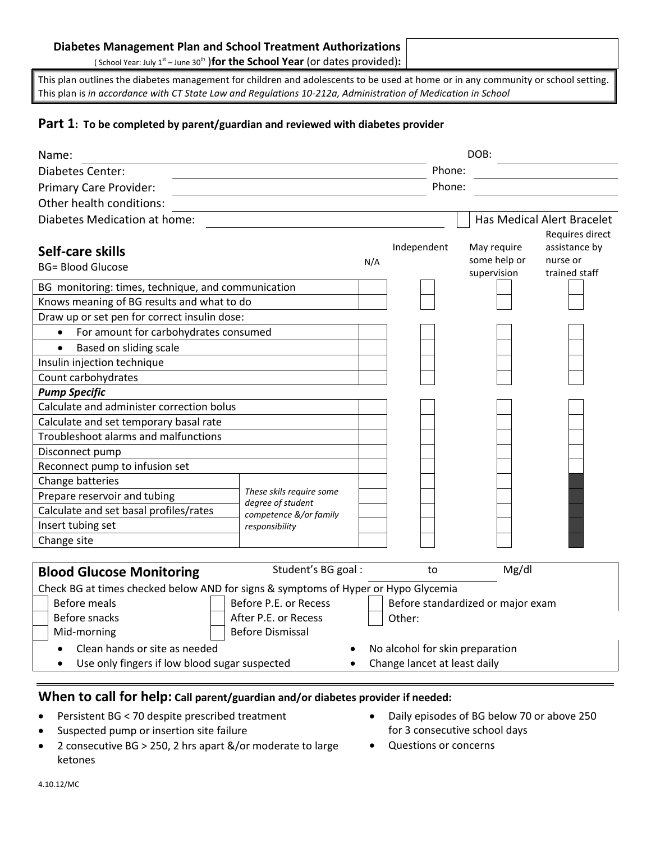#### **Diabetes Management Plan and School Treatment Authorizations**

(School Year: July 1<sup>st</sup> – June 30<sup>th</sup> )for the School Year (or dates provided):

This plan outlines the diabetes management for children and adolescents to be used at home or in any community or school setting. This plan is *in accordance with CT State Law and Regulations 10-212a, Administration of Medication in School*

#### **Part 1: To be completed by parent/guardian and reviewed with diabetes provider**

| Name:                                                                                      |                                                            |     |                                 | DOB:         |                            |  |
|--------------------------------------------------------------------------------------------|------------------------------------------------------------|-----|---------------------------------|--------------|----------------------------|--|
| Diabetes Center:                                                                           |                                                            |     |                                 | Phone:       |                            |  |
| Primary Care Provider:                                                                     |                                                            |     | Phone:                          |              |                            |  |
| Other health conditions:                                                                   |                                                            |     |                                 |              |                            |  |
| Diabetes Medication at home:                                                               |                                                            |     |                                 |              | Has Medical Alert Bracelet |  |
|                                                                                            |                                                            |     |                                 |              | Requires direct            |  |
| Self-care skills                                                                           |                                                            |     | Independent                     | May require  | assistance by              |  |
| <b>BG= Blood Glucose</b>                                                                   |                                                            | N/A |                                 | some help or | nurse or                   |  |
|                                                                                            |                                                            |     |                                 | supervision  | trained staff              |  |
| BG monitoring: times, technique, and communication                                         |                                                            |     |                                 |              |                            |  |
| Knows meaning of BG results and what to do<br>Draw up or set pen for correct insulin dose: |                                                            |     |                                 |              |                            |  |
|                                                                                            |                                                            |     |                                 |              |                            |  |
| For amount for carbohydrates consumed<br>$\bullet$                                         |                                                            |     |                                 |              |                            |  |
| Based on sliding scale<br>$\bullet$                                                        |                                                            |     |                                 |              |                            |  |
| Insulin injection technique<br>Count carbohydrates                                         |                                                            |     |                                 |              |                            |  |
| <b>Pump Specific</b>                                                                       |                                                            |     |                                 |              |                            |  |
| Calculate and administer correction bolus                                                  |                                                            |     |                                 |              |                            |  |
| Calculate and set temporary basal rate                                                     |                                                            |     |                                 |              |                            |  |
| Troubleshoot alarms and malfunctions                                                       |                                                            |     |                                 |              |                            |  |
| Disconnect pump                                                                            |                                                            |     |                                 |              |                            |  |
| Reconnect pump to infusion set                                                             |                                                            |     |                                 |              |                            |  |
| Change batteries                                                                           |                                                            |     |                                 |              |                            |  |
| Prepare reservoir and tubing                                                               | These skils require some                                   |     |                                 |              |                            |  |
| Calculate and set basal profiles/rates                                                     | degree of student                                          |     |                                 |              |                            |  |
| Insert tubing set                                                                          | competence &/or family<br>responsibility                   |     |                                 |              |                            |  |
| Change site                                                                                |                                                            |     |                                 |              |                            |  |
|                                                                                            |                                                            |     |                                 |              |                            |  |
| <b>Blood Glucose Monitoring</b>                                                            | Student's BG goal:                                         |     | to                              | Mg/dl        |                            |  |
| Check BG at times checked below AND for signs & symptoms of Hyper or Hypo Glycemia         |                                                            |     |                                 |              |                            |  |
| <b>Before meals</b>                                                                        | Before P.E. or Recess<br>Before standardized or major exam |     |                                 |              |                            |  |
| Before snacks                                                                              | After P.E. or Recess                                       |     | Other:                          |              |                            |  |
| Mid-morning                                                                                | <b>Before Dismissal</b>                                    |     |                                 |              |                            |  |
| Clean hands or site as needed                                                              |                                                            |     | No alcohol for skin preparation |              |                            |  |
| Use only fingers if low blood sugar suspected                                              |                                                            |     | Change lancet at least daily    |              |                            |  |

### **When to call for help: Call parent/guardian and/or diabetes provider if needed:**

- Persistent BG < 70 despite prescribed treatment
- **Suspected pump or insertion site failure**
- 2 consecutive BG > 250, 2 hrs apart &/or moderate to large ketones
- Daily episodes of BG below 70 or above 250 for 3 consecutive school days
- Questions or concerns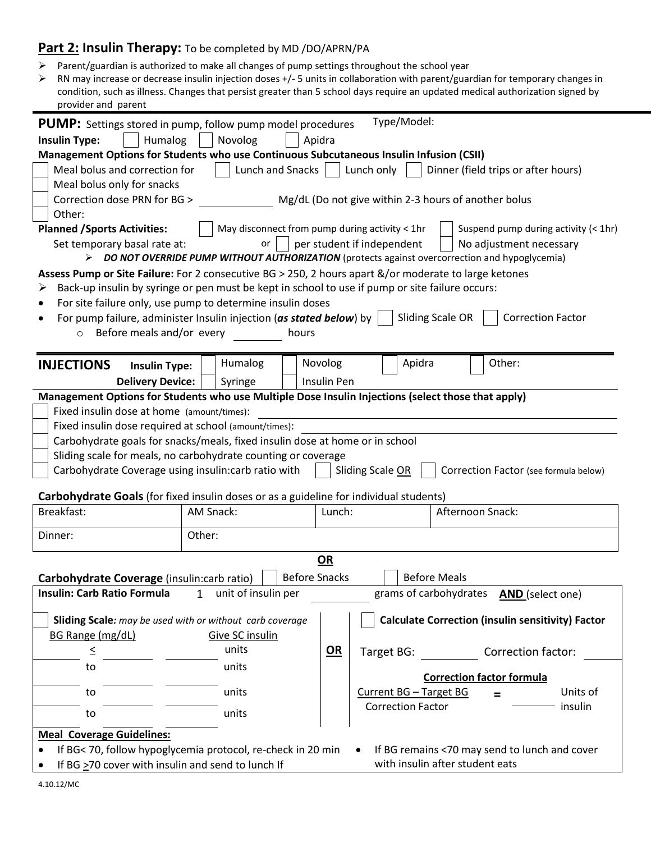### **Part 2: Insulin Therapy:** To be completed by MD /DO/APRN/PA

- Parent/guardian is authorized to make all changes of pump settings throughout the school year
- RN may increase or decrease insulin injection doses +/- 5 units in collaboration with parent/guardian for temporary changes in condition, such as illness. Changes that persist greater than 5 school days require an updated medical authorization signed by provider and parent

| Type/Model:<br><b>PUMP:</b> Settings stored in pump, follow pump model procedures                                    |                                                                              |                                                                                                       |  |  |  |
|----------------------------------------------------------------------------------------------------------------------|------------------------------------------------------------------------------|-------------------------------------------------------------------------------------------------------|--|--|--|
| Humalog<br><b>Insulin Type:</b>                                                                                      | Novolog                                                                      | Apidra                                                                                                |  |  |  |
|                                                                                                                      |                                                                              | Management Options for Students who use Continuous Subcutaneous Insulin Infusion (CSII)               |  |  |  |
|                                                                                                                      |                                                                              |                                                                                                       |  |  |  |
| Meal bolus and correction for                                                                                        | Lunch and Snacks                                                             | Lunch only<br>Dinner (field trips or after hours)                                                     |  |  |  |
| Meal bolus only for snacks                                                                                           |                                                                              |                                                                                                       |  |  |  |
| Correction dose PRN for BG >                                                                                         |                                                                              | Mg/dL (Do not give within 2-3 hours of another bolus                                                  |  |  |  |
| Other:                                                                                                               |                                                                              |                                                                                                       |  |  |  |
| <b>Planned / Sports Activities:</b>                                                                                  |                                                                              | May disconnect from pump during activity < 1hr<br>Suspend pump during activity (< 1hr)                |  |  |  |
|                                                                                                                      |                                                                              |                                                                                                       |  |  |  |
| Set temporary basal rate at:                                                                                         | or                                                                           | per student if independent<br>No adjustment necessary                                                 |  |  |  |
|                                                                                                                      |                                                                              | DO NOT OVERRIDE PUMP WITHOUT AUTHORIZATION (protects against overcorrection and hypoglycemia)         |  |  |  |
|                                                                                                                      |                                                                              | Assess Pump or Site Failure: For 2 consecutive BG > 250, 2 hours apart &/or moderate to large ketones |  |  |  |
|                                                                                                                      |                                                                              | Back-up insulin by syringe or pen must be kept in school to use if pump or site failure occurs:       |  |  |  |
|                                                                                                                      | For site failure only, use pump to determine insulin doses                   |                                                                                                       |  |  |  |
|                                                                                                                      |                                                                              |                                                                                                       |  |  |  |
|                                                                                                                      | For pump failure, administer Insulin injection (as stated below) by          | <b>Sliding Scale OR</b><br><b>Correction Factor</b>                                                   |  |  |  |
| Before meals and/or every<br>$\circ$                                                                                 | hours                                                                        |                                                                                                       |  |  |  |
|                                                                                                                      |                                                                              |                                                                                                       |  |  |  |
| <b>INJECTIONS</b><br><b>Insulin Type:</b>                                                                            | Humalog                                                                      | Novolog<br>Apidra<br>Other:                                                                           |  |  |  |
|                                                                                                                      |                                                                              |                                                                                                       |  |  |  |
| <b>Delivery Device:</b>                                                                                              | Syringe                                                                      | Insulin Pen                                                                                           |  |  |  |
|                                                                                                                      |                                                                              | Management Options for Students who use Multiple Dose Insulin Injections (select those that apply)    |  |  |  |
| Fixed insulin dose at home (amount/times):                                                                           |                                                                              |                                                                                                       |  |  |  |
| Fixed insulin dose required at school (amount/times):                                                                |                                                                              |                                                                                                       |  |  |  |
|                                                                                                                      | Carbohydrate goals for snacks/meals, fixed insulin dose at home or in school |                                                                                                       |  |  |  |
|                                                                                                                      | Sliding scale for meals, no carbohydrate counting or coverage                |                                                                                                       |  |  |  |
|                                                                                                                      |                                                                              |                                                                                                       |  |  |  |
| Carbohydrate Coverage using insulin:carb ratio with                                                                  |                                                                              | Sliding Scale OR<br>Correction Factor (see formula below)                                             |  |  |  |
|                                                                                                                      |                                                                              |                                                                                                       |  |  |  |
| Carbohydrate Goals (for fixed insulin doses or as a guideline for individual students)                               |                                                                              |                                                                                                       |  |  |  |
| Breakfast:                                                                                                           | AM Snack:                                                                    | Afternoon Snack:<br>Lunch:                                                                            |  |  |  |
|                                                                                                                      |                                                                              |                                                                                                       |  |  |  |
| Dinner:                                                                                                              | Other:                                                                       |                                                                                                       |  |  |  |
|                                                                                                                      |                                                                              | <u>OR</u>                                                                                             |  |  |  |
|                                                                                                                      |                                                                              |                                                                                                       |  |  |  |
| Carbohydrate Coverage (insulin: carb ratio)                                                                          |                                                                              | <b>Before Snacks</b><br><b>Before Meals</b>                                                           |  |  |  |
| <b>Insulin: Carb Ratio Formula</b>                                                                                   | unit of insulin per<br>1                                                     | grams of carbohydrates<br><b>AND</b> (select one)                                                     |  |  |  |
|                                                                                                                      |                                                                              |                                                                                                       |  |  |  |
| <b>Calculate Correction (insulin sensitivity) Factor</b><br>Sliding Scale: may be used with or without carb coverage |                                                                              |                                                                                                       |  |  |  |
| BG Range (mg/dL)                                                                                                     | <b>Give SC insulin</b>                                                       |                                                                                                       |  |  |  |
|                                                                                                                      |                                                                              |                                                                                                       |  |  |  |
| $\leq$                                                                                                               | units                                                                        | $OR$<br>Correction factor:<br>Target BG:                                                              |  |  |  |
| to                                                                                                                   | units                                                                        |                                                                                                       |  |  |  |
|                                                                                                                      |                                                                              | <b>Correction factor formula</b>                                                                      |  |  |  |
| to                                                                                                                   | units                                                                        | Units of<br>Current BG - Target BG<br>$=$                                                             |  |  |  |
|                                                                                                                      |                                                                              | <b>Correction Factor</b><br>insulin                                                                   |  |  |  |
| to                                                                                                                   | units                                                                        |                                                                                                       |  |  |  |
| <b>Meal Coverage Guidelines:</b>                                                                                     |                                                                              |                                                                                                       |  |  |  |
| If BG< 70, follow hypoglycemia protocol, re-check in 20 min                                                          |                                                                              |                                                                                                       |  |  |  |
| If BG remains <70 may send to lunch and cover                                                                        |                                                                              |                                                                                                       |  |  |  |
| If BG >70 cover with insulin and send to lunch If                                                                    |                                                                              | with insulin after student eats                                                                       |  |  |  |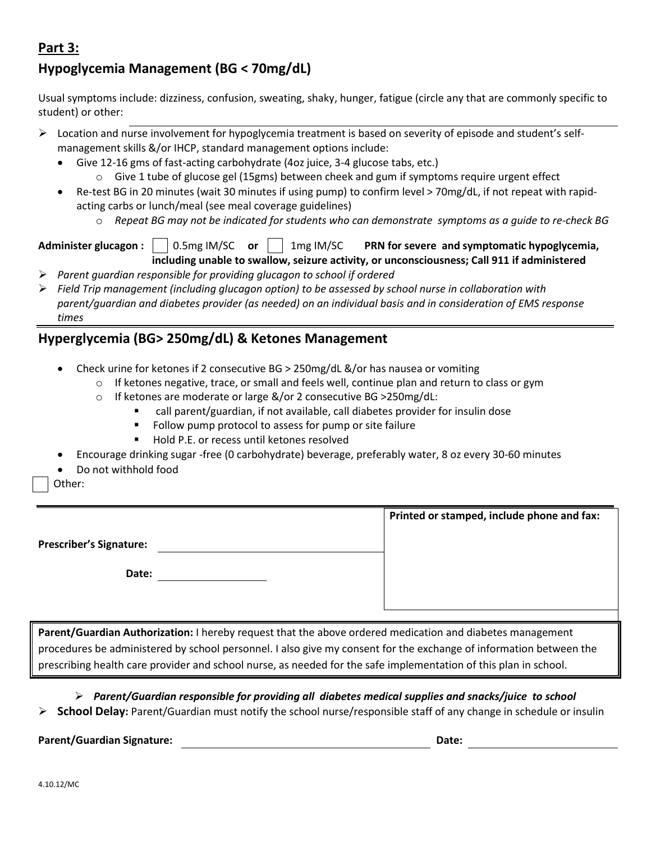### **Part 3:**

## **Hypoglycemia Management (BG < 70mg/dL)**

Usual symptoms include: dizziness, confusion, sweating, shaky, hunger, fatigue (circle any that are commonly specific to student) or other:

- $\triangleright$  Location and nurse involvement for hypoglycemia treatment is based on severity of episode and student's selfmanagement skills &/or IHCP, standard management options include:
	- Give 12-16 gms of fast-acting carbohydrate (4oz juice, 3-4 glucose tabs, etc.)
		- $\circ$  Give 1 tube of glucose gel (15gms) between cheek and gum if symptoms require urgent effect
	- Re-test BG in 20 minutes (wait 30 minutes if using pump) to confirm level > 70mg/dL, if not repeat with rapidacting carbs or lunch/meal (see meal coverage guidelines)
		- o *Repeat BG may not be indicated for students who can demonstrate symptoms as a guide to re-check BG*

# **Administer glucagon :** 0.5mg IM/SC **or** 1mg IM/SC **PRN for severe and symptomatic hypoglycemia,**

- **including unable to swallow, seizure activity, or unconsciousness; Call 911 if administered** *Parent guardian responsible for providing glucagon to school if ordered*
- *Field Trip management (including glucagon option) to be assessed by school nurse in collaboration with parent/guardian and diabetes provider (as needed) on an individual basis and in consideration of EMS response times*

### **Hyperglycemia (BG> 250mg/dL) & Ketones Management**

- Check urine for ketones if 2 consecutive BG > 250mg/dL &/or has nausea or vomiting
	- $\circ$  If ketones negative, trace, or small and feels well, continue plan and return to class or gym
	- o If ketones are moderate or large &/or 2 consecutive BG >250mg/dL:
		- call parent/guardian, if not available, call diabetes provider for insulin dose
		- Follow pump protocol to assess for pump or site failure
		- Hold P.E. or recess until ketones resolved
- Encourage drinking sugar -free (0 carbohydrate) beverage, preferably water, 8 oz every 30-60 minutes
- Do not withhold food

Other:

|                                | Printed or stamped, include phone and fax: |
|--------------------------------|--------------------------------------------|
| <b>Prescriber's Signature:</b> |                                            |
| Date:                          |                                            |
|                                |                                            |

**Parent/Guardian Authorization:** I hereby request that the above ordered medication and diabetes management procedures be administered by school personnel. I also give my consent for the exchange of information between the prescribing health care provider and school nurse, as needed for the safe implementation of this plan in school.

*Parent/Guardian responsible for providing all diabetes medical supplies and snacks/juice to school*

**School Delay:** Parent/Guardian must notify the school nurse/responsible staff of any change in schedule or insulin

**Parent/Guardian Signature: Date:**